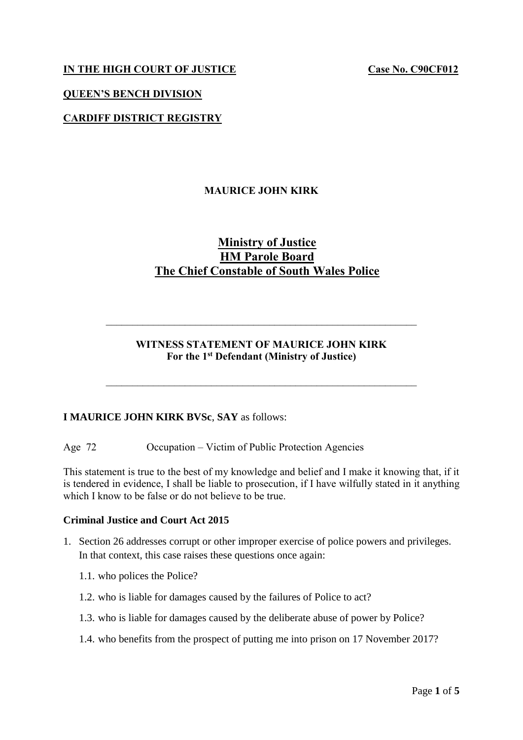## **IN THE HIGH COURT OF JUSTICE Case No. C90CF012**

#### **QUEEN'S BENCH DIVISION**

## **CARDIFF DISTRICT REGISTRY**

## **MAURICE JOHN KIRK**

# **Ministry of Justice HM Parole Board The Chief Constable of South Wales Police**

#### **WITNESS STATEMENT OF MAURICE JOHN KIRK For the 1 st Defendant (Ministry of Justice)**

 $\mathcal{L}_\text{max}$  , and the contribution of the contribution of the contribution of the contribution of the contribution of the contribution of the contribution of the contribution of the contribution of the contribution of t

 $\mathcal{L}_\text{max}$  , and the contribution of the contribution of the contribution of the contribution of the contribution of the contribution of the contribution of the contribution of the contribution of the contribution of t

#### **I MAURICE JOHN KIRK BVSc**, **SAY** as follows:

Age 72 Occupation – Victim of Public Protection Agencies

This statement is true to the best of my knowledge and belief and I make it knowing that, if it is tendered in evidence, I shall be liable to prosecution, if I have wilfully stated in it anything which I know to be false or do not believe to be true.

#### **Criminal Justice and Court Act 2015**

- 1. Section 26 addresses corrupt or other improper exercise of police powers and privileges. In that context, this case raises these questions once again:
	- 1.1. who polices the Police?
	- 1.2. who is liable for damages caused by the failures of Police to act?
	- 1.3. who is liable for damages caused by the deliberate abuse of power by Police?
	- 1.4. who benefits from the prospect of putting me into prison on 17 November 2017?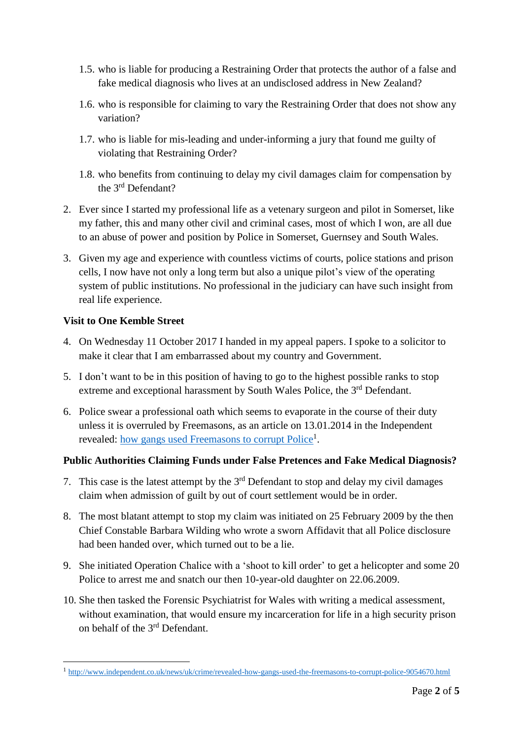- 1.5. who is liable for producing a Restraining Order that protects the author of a false and fake medical diagnosis who lives at an undisclosed address in New Zealand?
- 1.6. who is responsible for claiming to vary the Restraining Order that does not show any variation?
- 1.7. who is liable for mis-leading and under-informing a jury that found me guilty of violating that Restraining Order?
- 1.8. who benefits from continuing to delay my civil damages claim for compensation by the 3rd Defendant?
- 2. Ever since I started my professional life as a vetenary surgeon and pilot in Somerset, like my father, this and many other civil and criminal cases, most of which I won, are all due to an abuse of power and position by Police in Somerset, Guernsey and South Wales.
- 3. Given my age and experience with countless victims of courts, police stations and prison cells, I now have not only a long term but also a unique pilot's view of the operating system of public institutions. No professional in the judiciary can have such insight from real life experience.

## **Visit to One Kemble Street**

- 4. On Wednesday 11 October 2017 I handed in my appeal papers. I spoke to a solicitor to make it clear that I am embarrassed about my country and Government.
- 5. I don't want to be in this position of having to go to the highest possible ranks to stop extreme and exceptional harassment by South Wales Police, the 3<sup>rd</sup> Defendant.
- 6. Police swear a professional oath which seems to evaporate in the course of their duty unless it is overruled by Freemasons, as an article on 13.01.2014 in the Independent revealed: [how gangs used Freemasons to corrupt Police](http://www.independent.co.uk/news/uk/crime/revealed-how-gangs-used-the-freemasons-to-corrupt-police-9054670.html)<sup>1</sup>.

## **Public Authorities Claiming Funds under False Pretences and Fake Medical Diagnosis?**

- 7. This case is the latest attempt by the  $3<sup>rd</sup>$  Defendant to stop and delay my civil damages claim when admission of guilt by out of court settlement would be in order.
- 8. The most blatant attempt to stop my claim was initiated on 25 February 2009 by the then Chief Constable Barbara Wilding who wrote a sworn Affidavit that all Police disclosure had been handed over, which turned out to be a lie.
- 9. She initiated Operation Chalice with a 'shoot to kill order' to get a helicopter and some 20 Police to arrest me and snatch our then 10-year-old daughter on 22.06.2009.
- 10. She then tasked the Forensic Psychiatrist for Wales with writing a medical assessment, without examination, that would ensure my incarceration for life in a high security prison on behalf of the 3rd Defendant.

 1 <http://www.independent.co.uk/news/uk/crime/revealed-how-gangs-used-the-freemasons-to-corrupt-police-9054670.html>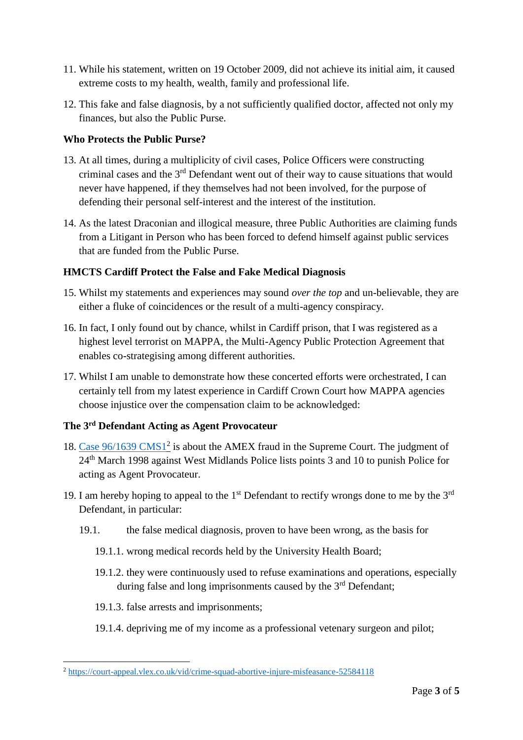- 11. While his statement, written on 19 October 2009, did not achieve its initial aim, it caused extreme costs to my health, wealth, family and professional life.
- 12. This fake and false diagnosis, by a not sufficiently qualified doctor, affected not only my finances, but also the Public Purse.

## **Who Protects the Public Purse?**

- 13. At all times, during a multiplicity of civil cases, Police Officers were constructing criminal cases and the 3rd Defendant went out of their way to cause situations that would never have happened, if they themselves had not been involved, for the purpose of defending their personal self-interest and the interest of the institution.
- 14. As the latest Draconian and illogical measure, three Public Authorities are claiming funds from a Litigant in Person who has been forced to defend himself against public services that are funded from the Public Purse.

# **HMCTS Cardiff Protect the False and Fake Medical Diagnosis**

- 15. Whilst my statements and experiences may sound *over the top* and un-believable, they are either a fluke of coincidences or the result of a multi-agency conspiracy.
- 16. In fact, I only found out by chance, whilst in Cardiff prison, that I was registered as a highest level terrorist on MAPPA, the Multi-Agency Public Protection Agreement that enables co-strategising among different authorities.
- 17. Whilst I am unable to demonstrate how these concerted efforts were orchestrated, I can certainly tell from my latest experience in Cardiff Crown Court how MAPPA agencies choose injustice over the compensation claim to be acknowledged:

## **The 3rd Defendant Acting as Agent Provocateur**

- 18. [Case 96/1639 CMS1](https://court-appeal.vlex.co.uk/vid/crime-squad-abortive-injure-misfeasance-52584118)<sup>2</sup> is about the AMEX fraud in the Supreme Court. The judgment of 24th March 1998 against West Midlands Police lists points 3 and 10 to punish Police for acting as Agent Provocateur.
- 19. I am hereby hoping to appeal to the  $1<sup>st</sup>$  Defendant to rectify wrongs done to me by the  $3<sup>rd</sup>$ Defendant, in particular:
	- 19.1. the false medical diagnosis, proven to have been wrong, as the basis for
		- 19.1.1. wrong medical records held by the University Health Board;
		- 19.1.2. they were continuously used to refuse examinations and operations, especially during false and long imprisonments caused by the 3<sup>rd</sup> Defendant;
		- 19.1.3. false arrests and imprisonments;

1

19.1.4. depriving me of my income as a professional vetenary surgeon and pilot;

<sup>2</sup> <https://court-appeal.vlex.co.uk/vid/crime-squad-abortive-injure-misfeasance-52584118>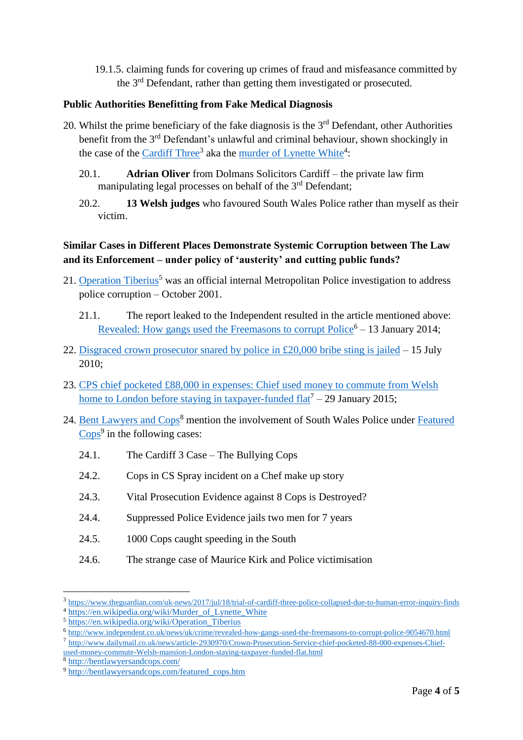19.1.5. claiming funds for covering up crimes of fraud and misfeasance committed by the 3rd Defendant, rather than getting them investigated or prosecuted.

#### **Public Authorities Benefitting from Fake Medical Diagnosis**

- 20. Whilst the prime beneficiary of the fake diagnosis is the  $3<sup>rd</sup>$  Defendant, other Authorities benefit from the 3<sup>rd</sup> Defendant's unlawful and criminal behaviour, shown shockingly in the case of the [Cardiff Three](https://www.theguardian.com/uk-news/2017/jul/18/trial-of-cardiff-three-police-collapsed-due-to-human-error-inquiry-finds)<sup>3</sup> aka the [murder of Lynette White](https://en.wikipedia.org/wiki/Murder_of_Lynette_White)<sup>4</sup>:
	- 20.1. **Adrian Oliver** from Dolmans Solicitors Cardiff the private law firm manipulating legal processes on behalf of the 3<sup>rd</sup> Defendant;
	- 20.2. **13 Welsh judges** who favoured South Wales Police rather than myself as their victim.

# **Similar Cases in Different Places Demonstrate Systemic Corruption between The Law and its Enforcement – under policy of 'austerity' and cutting public funds?**

- 21. [Operation Tiberius](https://en.wikipedia.org/wiki/Operation_Tiberius)<sup>5</sup> was an official internal Metropolitan Police investigation to address police corruption – October 2001.
	- 21.1. The report leaked to the Independent resulted in the article mentioned above: Revealed: How gangs used the Freemasons to corrupt  $Police<sup>6</sup> - 13$  January 2014;
- 22. [Disgraced crown prosecutor snared by police in £20,000 bribe sting is jailed](http://www.dailymail.co.uk/news/article-1294918/Jailed-Former-Court-official-took-20k-bribe-wealthy-businessman-drop-assault-charge.html) 15 July 2010;
- 23. [CPS chief pocketed £88,000 in expenses: Chief used money to commute from Welsh](http://www.dailymail.co.uk/news/article-2930970/Crown-Prosecution-Service-chief-pocketed-88-000-expenses-Chief-used-money-commute-Welsh-mansion-London-staying-taxpayer-funded-flat.html)  home to London before staying in taxpayer-funded  $flat^7 - 29$  January 2015;
- 24. [Bent Lawyers and Cops](http://bentlawyersandcops.com/)<sup>8</sup> mention the involvement of South Wales Police under Featured  $\frac{Cops^9}{}$  $\frac{Cops^9}{}$  $\frac{Cops^9}{}$  in the following cases:
	- 24.1. The Cardiff 3 Case The Bullying Cops
	- 24.2. Cops in CS Spray incident on a Chef make up story
	- 24.3. Vital Prosecution Evidence against 8 Cops is Destroyed?
	- 24.4. Suppressed Police Evidence jails two men for 7 years
	- 24.5. 1000 Cops caught speeding in the South
	- 24.6. The strange case of Maurice Kirk and Police victimisation

<u>.</u>

<sup>3</sup> <https://www.theguardian.com/uk-news/2017/jul/18/trial-of-cardiff-three-police-collapsed-due-to-human-error-inquiry-finds>

<sup>&</sup>lt;sup>4</sup> [https://en.wikipedia.org/wiki/Murder\\_of\\_Lynette\\_White](https://en.wikipedia.org/wiki/Murder_of_Lynette_White)

<sup>5</sup> [https://en.wikipedia.org/wiki/Operation\\_Tiberius](https://en.wikipedia.org/wiki/Operation_Tiberius)

<sup>6</sup> <http://www.independent.co.uk/news/uk/crime/revealed-how-gangs-used-the-freemasons-to-corrupt-police-9054670.html>

<sup>7</sup> [http://www.dailymail.co.uk/news/article-2930970/Crown-Prosecution-Service-chief-pocketed-88-000-expenses-Chief](http://www.dailymail.co.uk/news/article-2930970/Crown-Prosecution-Service-chief-pocketed-88-000-expenses-Chief-used-money-commute-Welsh-mansion-London-staying-taxpayer-funded-flat.html)[used-money-commute-Welsh-mansion-London-staying-taxpayer-funded-flat.html](http://www.dailymail.co.uk/news/article-2930970/Crown-Prosecution-Service-chief-pocketed-88-000-expenses-Chief-used-money-commute-Welsh-mansion-London-staying-taxpayer-funded-flat.html)

<sup>8</sup> <http://bentlawyersandcops.com/>

<sup>9</sup> [http://bentlawyersandcops.com/featured\\_cops.htm](http://bentlawyersandcops.com/featured_cops.htm)